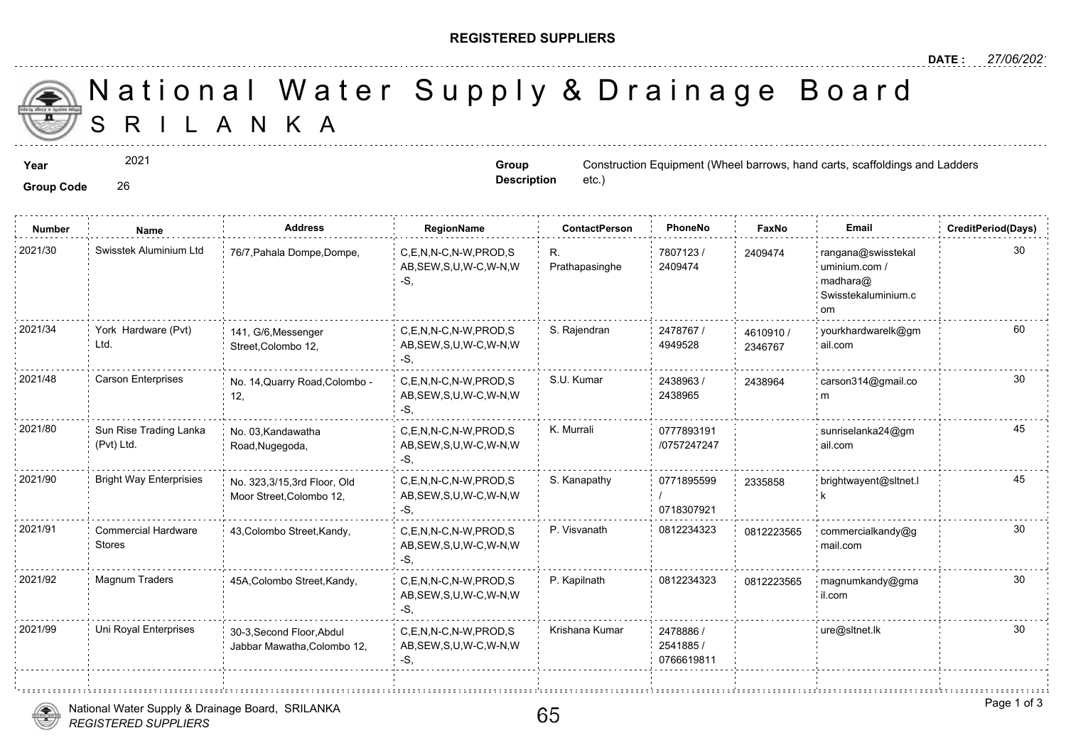## **REGISTERED SUPPLIERS**

 S R I L A N K A National Water Supply & Drainage

**Group Code** 26

2021

**Group Description**

etc.)

**Year** Construction Equipment (Wheel barrows, hand carts, scaffoldings and Ladders

| <b>Number</b> | Name                                        | <b>Address</b>                                           | RegionName                                                   | <b>ContactPerson</b> | PhoneNo                              | Faxl             |
|---------------|---------------------------------------------|----------------------------------------------------------|--------------------------------------------------------------|----------------------|--------------------------------------|------------------|
| 2021/30       | Swisstek Aluminium Ltd                      | 76/7, Pahala Dompe, Dompe,                               | C.E.N.N-C.N-W.PROD.S<br>AB, SEW, S, U, W-C, W-N, W<br>$-S$ . | R.<br>Prathapasinghe | 7807123/<br>2409474                  | 240947           |
| 2021/34       | York Hardware (Pvt)<br>Ltd.                 | 141, G/6, Messenger<br>Street, Colombo 12,               | C,E,N,N-C,N-W,PROD,S<br>AB, SEW, S, U, W-C, W-N, W<br>-S,    | S. Rajendran         | 2478767 /<br>4949528                 | 461091<br>234676 |
| 2021/48       | <b>Carson Enterprises</b>                   | No. 14, Quarry Road, Colombo -<br>12,                    | C,E,N,N-C,N-W,PROD,S<br>AB, SEW, S, U, W-C, W-N, W<br>-S,    | S.U. Kumar           | 2438963<br>2438965                   | 243896           |
| 2021/80       | Sun Rise Trading Lanka<br>(Pvt) Ltd.        | No. 03, Kandawatha<br>Road, Nugegoda,                    | C.E.N.N-C.N-W.PROD.S<br>AB, SEW, S, U, W-C, W-N, W<br>-S,    | K. Murrali           | 0777893191<br>/0757247247            |                  |
| 2021/90       | <b>Bright Way Enterprisies</b>              | No. 323,3/15,3rd Floor, Old<br>Moor Street, Colombo 12,  | C.E.N.N-C.N-W.PROD.S<br>AB, SEW, S, U, W-C, W-N, W<br>-S,    | S. Kanapathy         | 0771895599<br>0718307921             | 233585           |
| 2021/91       | <b>Commercial Hardware</b><br><b>Stores</b> | 43, Colombo Street, Kandy,                               | C,E,N,N-C,N-W,PROD,S<br>AB, SEW, S, U, W-C, W-N, W<br>-S,    | P. Visvanath         | 0812234323                           | 081222           |
| 2021/92       | Magnum Traders                              | 45A, Colombo Street, Kandy,                              | C,E,N,N-C,N-W,PROD,S<br>AB, SEW, S, U, W-C, W-N, W<br>-S,    | P. Kapilnath         | 0812234323                           | 081222           |
| 2021/99       | Uni Royal Enterprises                       | 30-3, Second Floor, Abdul<br>Jabbar Mawatha, Colombo 12, | C,E,N,N-C,N-W,PROD,S<br>AB, SEW, S, U, W-C, W-N, W<br>-S,    | Krishana Kumar       | 2478886 /<br>2541885 /<br>0766619811 |                  |
|               |                                             |                                                          |                                                              |                      |                                      |                  |

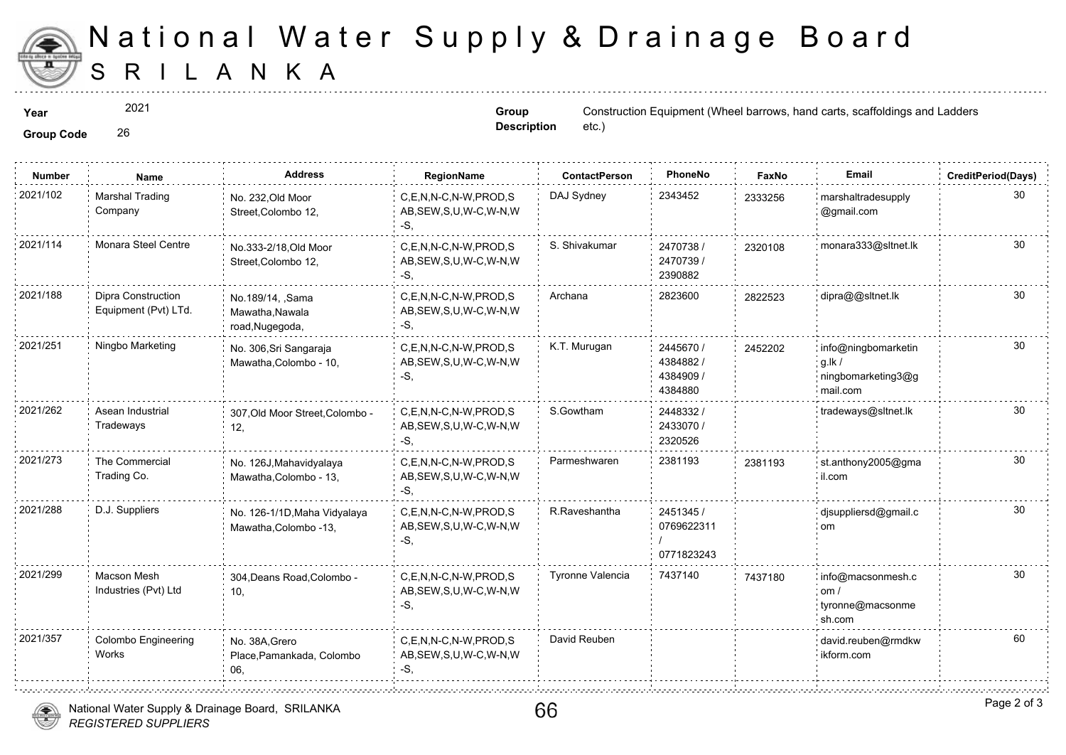

## S R I L A N K A National Water Supply & Drainage

2021

**Group Description**

**Year** Construction Equipment (Wheel barrows, hand carts, scaffoldings and Ladders etc.)

**Group Code** 26

| <b>Marshal Trading</b><br>DAJ Sydney<br>2343452<br>C.E.N.N-C.N-W.PROD.S<br>No. 232, Old Moor<br>233325<br>Company<br>AB, SEW, S, U, W-C, W-N, W<br>Street, Colombo 12,<br>-S.<br>Monara Steel Centre<br>S. Shivakumar<br>2470738 /<br>C.E.N.N-C.N-W.PROD.S<br>No.333-2/18, Old Moor<br>232010<br>2470739 /<br>AB, SEW, S, U, W-C, W-N, W<br>Street, Colombo 12,<br>2390882<br>-S.<br>2823600<br>Dipra Construction<br>Archana<br>C,E,N,N-C,N-W,PROD,S<br>No.189/14, ,Sama<br>282252<br>Equipment (Pvt) LTd.<br>AB, SEW, S, U, W-C, W-N, W<br>Mawatha, Nawala<br>-S,<br>road, Nugegoda,<br>Ningbo Marketing<br>K.T. Murugan<br>C.E.N.N-C.N-W.PROD.S<br>2445670 /<br>245220<br>No. 306, Sri Sangaraja<br>4384882/<br>AB, SEW, S, U, W-C, W-N, W<br>Mawatha, Colombo - 10,<br>4384909 /<br>-S,<br>4384880<br>S.Gowtham<br>Asean Industrial<br>C,E,N,N-C,N-W,PROD,S<br>2448332 /<br>307, Old Moor Street, Colombo -<br>Tradeways<br>2433070 /<br>AB, SEW, S, U, W-C, W-N, W<br>12,<br>2320526<br>-S,<br>The Commercial<br>2381193<br>Parmeshwaren<br>C,E,N,N-C,N-W,PROD,S<br>No. 126J, Mahavidyalaya<br>238119<br>Trading Co.<br>AB, SEW, S, U, W-C, W-N, W<br>Mawatha, Colombo - 13,<br>-S,<br>D.J. Suppliers<br>R.Raveshantha<br>2451345 /<br>C.E.N.N-C.N-W.PROD.S<br>No. 126-1/1D, Maha Vidyalaya<br>0769622311<br>AB, SEW, S, U, W-C, W-N, W<br>Mawatha, Colombo -13,<br>-S.<br>0771823243<br>Tyronne Valencia<br><b>Macson Mesh</b><br>7437140<br>C,E,N,N-C,N-W,PROD,S<br>304, Deans Road, Colombo -<br>743718<br>Industries (Pvt) Ltd<br>AB, SEW, S, U, W-C, W-N, W<br>10.<br>-S.<br>David Reuben<br>Colombo Engineering<br>C.E.N.N-C.N-W.PROD.S<br>No. 38A.Grero<br>Works<br>AB, SEW, S, U, W-C, W-N, W<br>Place, Pamankada, Colombo<br>-S.<br>06. | <b>Number</b> | Name | <b>Address</b> | RegionName | <b>ContactPerson</b> | PhoneNo | Faxl |
|-------------------------------------------------------------------------------------------------------------------------------------------------------------------------------------------------------------------------------------------------------------------------------------------------------------------------------------------------------------------------------------------------------------------------------------------------------------------------------------------------------------------------------------------------------------------------------------------------------------------------------------------------------------------------------------------------------------------------------------------------------------------------------------------------------------------------------------------------------------------------------------------------------------------------------------------------------------------------------------------------------------------------------------------------------------------------------------------------------------------------------------------------------------------------------------------------------------------------------------------------------------------------------------------------------------------------------------------------------------------------------------------------------------------------------------------------------------------------------------------------------------------------------------------------------------------------------------------------------------------------------------------------------------------------------------------------------------------------------------------------------|---------------|------|----------------|------------|----------------------|---------|------|
|                                                                                                                                                                                                                                                                                                                                                                                                                                                                                                                                                                                                                                                                                                                                                                                                                                                                                                                                                                                                                                                                                                                                                                                                                                                                                                                                                                                                                                                                                                                                                                                                                                                                                                                                                       | 2021/102      |      |                |            |                      |         |      |
|                                                                                                                                                                                                                                                                                                                                                                                                                                                                                                                                                                                                                                                                                                                                                                                                                                                                                                                                                                                                                                                                                                                                                                                                                                                                                                                                                                                                                                                                                                                                                                                                                                                                                                                                                       | 2021/114      |      |                |            |                      |         |      |
|                                                                                                                                                                                                                                                                                                                                                                                                                                                                                                                                                                                                                                                                                                                                                                                                                                                                                                                                                                                                                                                                                                                                                                                                                                                                                                                                                                                                                                                                                                                                                                                                                                                                                                                                                       | 2021/188      |      |                |            |                      |         |      |
|                                                                                                                                                                                                                                                                                                                                                                                                                                                                                                                                                                                                                                                                                                                                                                                                                                                                                                                                                                                                                                                                                                                                                                                                                                                                                                                                                                                                                                                                                                                                                                                                                                                                                                                                                       | 2021/251      |      |                |            |                      |         |      |
|                                                                                                                                                                                                                                                                                                                                                                                                                                                                                                                                                                                                                                                                                                                                                                                                                                                                                                                                                                                                                                                                                                                                                                                                                                                                                                                                                                                                                                                                                                                                                                                                                                                                                                                                                       | 2021/262      |      |                |            |                      |         |      |
|                                                                                                                                                                                                                                                                                                                                                                                                                                                                                                                                                                                                                                                                                                                                                                                                                                                                                                                                                                                                                                                                                                                                                                                                                                                                                                                                                                                                                                                                                                                                                                                                                                                                                                                                                       | 2021/273      |      |                |            |                      |         |      |
|                                                                                                                                                                                                                                                                                                                                                                                                                                                                                                                                                                                                                                                                                                                                                                                                                                                                                                                                                                                                                                                                                                                                                                                                                                                                                                                                                                                                                                                                                                                                                                                                                                                                                                                                                       | 2021/288      |      |                |            |                      |         |      |
|                                                                                                                                                                                                                                                                                                                                                                                                                                                                                                                                                                                                                                                                                                                                                                                                                                                                                                                                                                                                                                                                                                                                                                                                                                                                                                                                                                                                                                                                                                                                                                                                                                                                                                                                                       | 2021/299      |      |                |            |                      |         |      |
|                                                                                                                                                                                                                                                                                                                                                                                                                                                                                                                                                                                                                                                                                                                                                                                                                                                                                                                                                                                                                                                                                                                                                                                                                                                                                                                                                                                                                                                                                                                                                                                                                                                                                                                                                       | 2021/357      |      |                |            |                      |         |      |